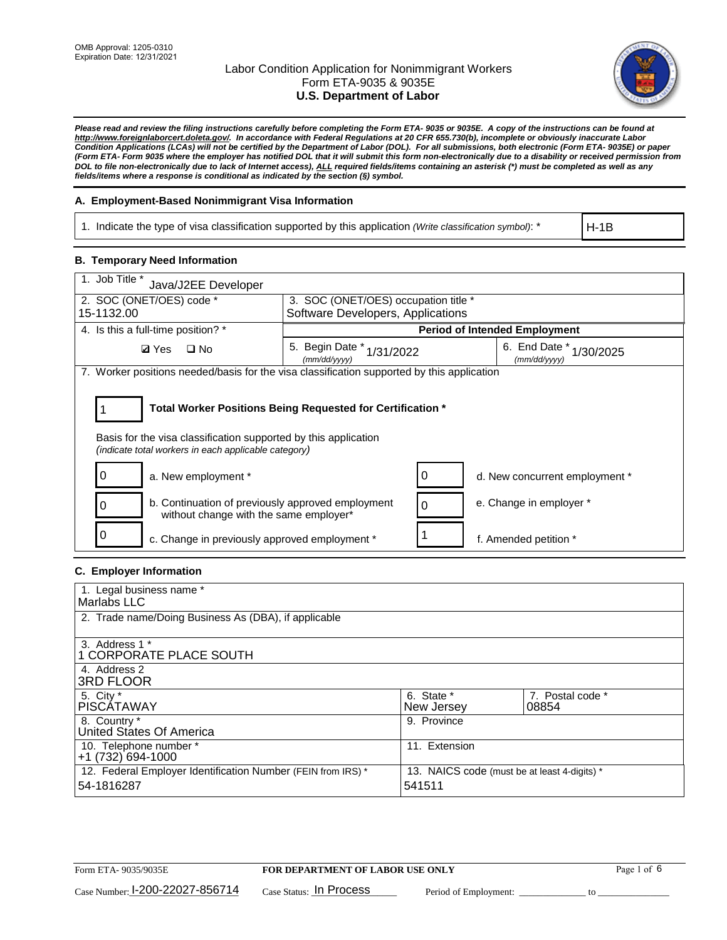

*Please read and review the filing instructions carefully before completing the Form ETA- 9035 or 9035E. A copy of the instructions can be found at http://www.foreignlaborcert.doleta.gov/. In accordance with Federal Regulations at 20 CFR 655.730(b), incomplete or obviously inaccurate Labor Condition Applications (LCAs) will not be certified by the Department of Labor (DOL). For all submissions, both electronic (Form ETA- 9035E) or paper (Form ETA- Form 9035 where the employer has notified DOL that it will submit this form non-electronically due to a disability or received permission from DOL to file non-electronically due to lack of Internet access), ALL required fields/items containing an asterisk (\*) must be completed as well as any fields/items where a response is conditional as indicated by the section (§) symbol.* 

### **A. Employment-Based Nonimmigrant Visa Information**

1. Indicate the type of visa classification supported by this application *(Write classification symbol)*: \*

H-1B

#### **B. Temporary Need Information**

| 1. Job Title *<br>Java/J2EE Developer                                                                                                                                                 |                                                                                              |                                |  |  |  |
|---------------------------------------------------------------------------------------------------------------------------------------------------------------------------------------|----------------------------------------------------------------------------------------------|--------------------------------|--|--|--|
| 2. SOC (ONET/OES) code *<br>15-1132.00                                                                                                                                                | 3. SOC (ONET/OES) occupation title *<br>Software Developers, Applications                    |                                |  |  |  |
|                                                                                                                                                                                       |                                                                                              |                                |  |  |  |
| 4. Is this a full-time position? *                                                                                                                                                    | <b>Period of Intended Employment</b>                                                         |                                |  |  |  |
| <b>Ø</b> Yes<br>$\square$ No                                                                                                                                                          | 6. End Date $*_{1/30/2025}$<br>5. Begin Date $*_{1/31/2022}$<br>(mm/dd/yyyy)<br>(mm/dd/yyyy) |                                |  |  |  |
| 7. Worker positions needed/basis for the visa classification supported by this application                                                                                            |                                                                                              |                                |  |  |  |
| Total Worker Positions Being Requested for Certification *<br>Basis for the visa classification supported by this application<br>(indicate total workers in each applicable category) |                                                                                              |                                |  |  |  |
| a. New employment *                                                                                                                                                                   | 0                                                                                            | d. New concurrent employment * |  |  |  |
| b. Continuation of previously approved employment<br>without change with the same employer*                                                                                           | 0                                                                                            | e. Change in employer *        |  |  |  |
| c. Change in previously approved employment *                                                                                                                                         |                                                                                              | f. Amended petition *          |  |  |  |

### **C. Employer Information**

| 1. Legal business name *                                                   |                                                        |                           |
|----------------------------------------------------------------------------|--------------------------------------------------------|---------------------------|
| Marlabs LLC                                                                |                                                        |                           |
| 2. Trade name/Doing Business As (DBA), if applicable                       |                                                        |                           |
| 3. Address 1 *<br>1 CORPORATE PLACE SOUTH<br>4. Address 2                  |                                                        |                           |
| <b>3RD FLOOR</b>                                                           |                                                        |                           |
| 5. City *<br><b>PISCÁTAWAY</b>                                             | 6. State *<br>New Jersey                               | 7. Postal code *<br>08854 |
| 8. Country *<br>United States Of America                                   | 9. Province                                            |                           |
| 10. Telephone number *<br>$+1(732)694-1000$                                | 11. Extension                                          |                           |
| 12. Federal Employer Identification Number (FEIN from IRS) *<br>54-1816287 | 13. NAICS code (must be at least 4-digits) *<br>541511 |                           |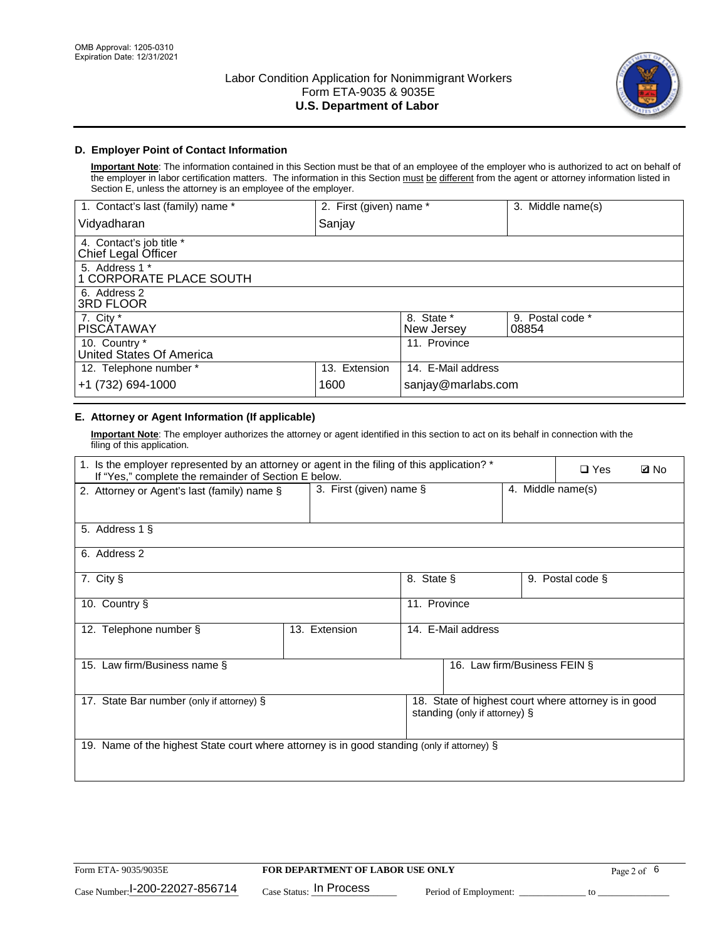

## **D. Employer Point of Contact Information**

**Important Note**: The information contained in this Section must be that of an employee of the employer who is authorized to act on behalf of the employer in labor certification matters. The information in this Section must be different from the agent or attorney information listed in Section E, unless the attorney is an employee of the employer.

| 1. Contact's last (family) name *               | 2. First (given) name * |                          | 3. Middle name(s)         |
|-------------------------------------------------|-------------------------|--------------------------|---------------------------|
| Vidyadharan                                     | Sanjay                  |                          |                           |
| 4. Contact's job title *<br>Chief Legal Officer |                         |                          |                           |
| 5. Address 1 *<br>1 CORPORATE PLACE SOUTH       |                         |                          |                           |
| 6. Address 2<br><b>3RD FLOOR</b>                |                         |                          |                           |
| 7. City *<br><b>PISCÁTAWAY</b>                  |                         | 8. State *<br>New Jersey | 9. Postal code *<br>08854 |
| 10. Country *<br>United States Of America       |                         | 11. Province             |                           |
| 12. Telephone number *                          | 13. Extension           | 14. E-Mail address       |                           |
| +1 (732) 694-1000                               | 1600                    | sanjay@marlabs.com       |                           |

# **E. Attorney or Agent Information (If applicable)**

**Important Note**: The employer authorizes the attorney or agent identified in this section to act on its behalf in connection with the filing of this application.

| 1. Is the employer represented by an attorney or agent in the filing of this application? *<br>If "Yes," complete the remainder of Section E below. |                                                 |                    |                               |  |                                                      | <b>Ø</b> No |
|-----------------------------------------------------------------------------------------------------------------------------------------------------|-------------------------------------------------|--------------------|-------------------------------|--|------------------------------------------------------|-------------|
| 2. Attorney or Agent's last (family) name §                                                                                                         | 3. First (given) name $\S$<br>4. Middle name(s) |                    |                               |  |                                                      |             |
| 5. Address 1 §                                                                                                                                      |                                                 |                    |                               |  |                                                      |             |
| 6. Address 2                                                                                                                                        |                                                 |                    |                               |  |                                                      |             |
| 7. City §                                                                                                                                           |                                                 | 8. State §         |                               |  | 9. Postal code §                                     |             |
| 10. Country §                                                                                                                                       |                                                 | 11. Province       |                               |  |                                                      |             |
| 12. Telephone number §                                                                                                                              | 13. Extension                                   | 14. E-Mail address |                               |  |                                                      |             |
| 15. Law firm/Business name §                                                                                                                        |                                                 |                    | 16. Law firm/Business FEIN §  |  |                                                      |             |
| 17. State Bar number (only if attorney) §                                                                                                           |                                                 |                    | standing (only if attorney) § |  | 18. State of highest court where attorney is in good |             |
| 19. Name of the highest State court where attorney is in good standing (only if attorney) §                                                         |                                                 |                    |                               |  |                                                      |             |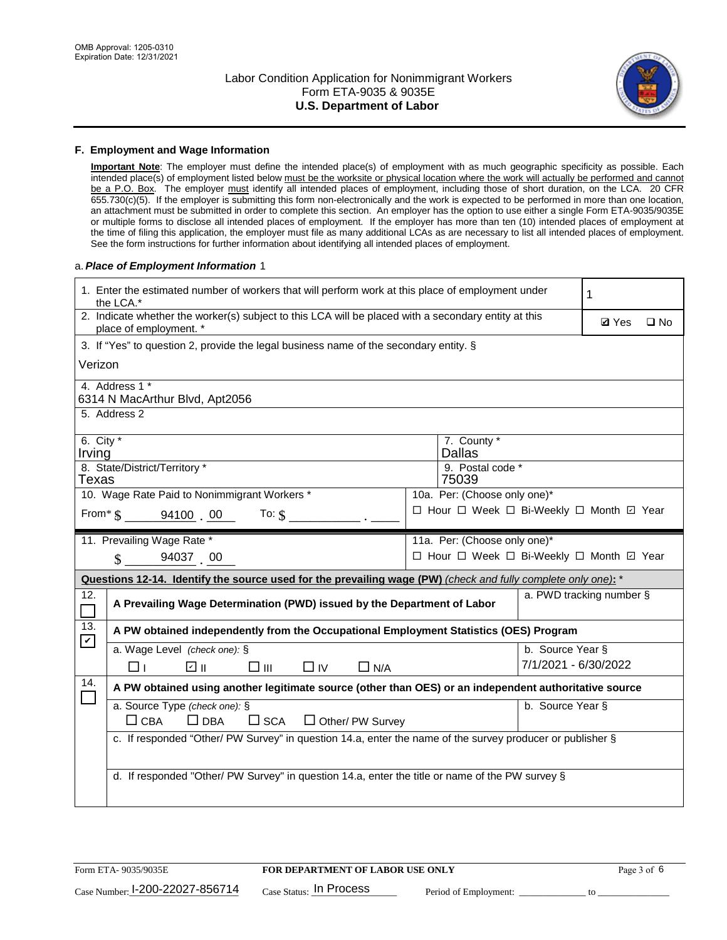

#### **F. Employment and Wage Information**

**Important Note**: The employer must define the intended place(s) of employment with as much geographic specificity as possible. Each intended place(s) of employment listed below must be the worksite or physical location where the work will actually be performed and cannot be a P.O. Box. The employer must identify all intended places of employment, including those of short duration, on the LCA. 20 CFR 655.730(c)(5). If the employer is submitting this form non-electronically and the work is expected to be performed in more than one location, an attachment must be submitted in order to complete this section. An employer has the option to use either a single Form ETA-9035/9035E or multiple forms to disclose all intended places of employment. If the employer has more than ten (10) intended places of employment at the time of filing this application, the employer must file as many additional LCAs as are necessary to list all intended places of employment. See the form instructions for further information about identifying all intended places of employment.

#### a.*Place of Employment Information* 1

|                                                                                    | 1. Enter the estimated number of workers that will perform work at this place of employment under<br>the LCA.*                 |  | 1                                        |                      |                          |              |  |  |
|------------------------------------------------------------------------------------|--------------------------------------------------------------------------------------------------------------------------------|--|------------------------------------------|----------------------|--------------------------|--------------|--|--|
|                                                                                    | 2. Indicate whether the worker(s) subject to this LCA will be placed with a secondary entity at this<br>place of employment. * |  |                                          |                      |                          | $\square$ No |  |  |
|                                                                                    | 3. If "Yes" to question 2, provide the legal business name of the secondary entity. §                                          |  |                                          |                      |                          |              |  |  |
|                                                                                    | Verizon                                                                                                                        |  |                                          |                      |                          |              |  |  |
|                                                                                    | 4. Address 1 *<br>6314 N MacArthur Blvd, Apt2056                                                                               |  |                                          |                      |                          |              |  |  |
|                                                                                    | 5. Address 2                                                                                                                   |  |                                          |                      |                          |              |  |  |
| Irving                                                                             | 6. City $*$<br>7. County *<br><b>Dallas</b><br>8. State/District/Territory *                                                   |  |                                          |                      |                          |              |  |  |
| Texas                                                                              |                                                                                                                                |  | 9. Postal code *<br>75039                |                      |                          |              |  |  |
|                                                                                    | 10. Wage Rate Paid to Nonimmigrant Workers *                                                                                   |  | 10a. Per: (Choose only one)*             |                      |                          |              |  |  |
| □ Hour □ Week □ Bi-Weekly □ Month ☑ Year<br>From $\frac{1}{5}$ 94100 00<br>To: $$$ |                                                                                                                                |  |                                          |                      |                          |              |  |  |
|                                                                                    | 11. Prevailing Wage Rate *                                                                                                     |  | 11a. Per: (Choose only one)*             |                      |                          |              |  |  |
|                                                                                    | 94037 00<br>$\mathbf{\hat{S}}$                                                                                                 |  | □ Hour □ Week □ Bi-Weekly □ Month ☑ Year |                      |                          |              |  |  |
|                                                                                    | Questions 12-14. Identify the source used for the prevailing wage (PW) (check and fully complete only one): *                  |  |                                          |                      |                          |              |  |  |
| 12.<br>$\Box$                                                                      | A Prevailing Wage Determination (PWD) issued by the Department of Labor                                                        |  |                                          |                      | a. PWD tracking number § |              |  |  |
| 13.                                                                                | A PW obtained independently from the Occupational Employment Statistics (OES) Program                                          |  |                                          |                      |                          |              |  |  |
| $\mathbf v$                                                                        | a. Wage Level (check one): §                                                                                                   |  |                                          | b. Source Year §     |                          |              |  |  |
|                                                                                    | பெ<br>□⊪<br>$\Box$ N/A<br>□⊥<br>$\Box$ IV                                                                                      |  |                                          | 7/1/2021 - 6/30/2022 |                          |              |  |  |
| 14.                                                                                | A PW obtained using another legitimate source (other than OES) or an independent authoritative source                          |  |                                          |                      |                          |              |  |  |
|                                                                                    | a. Source Type (check one): §<br>b. Source Year §<br>$\Box$ CBA<br>$\Box$ DBA<br>$\square$ SCA<br>$\Box$ Other/ PW Survey      |  |                                          |                      |                          |              |  |  |
|                                                                                    | c. If responded "Other/ PW Survey" in question 14.a, enter the name of the survey producer or publisher §                      |  |                                          |                      |                          |              |  |  |
|                                                                                    | d. If responded "Other/ PW Survey" in question 14.a, enter the title or name of the PW survey §                                |  |                                          |                      |                          |              |  |  |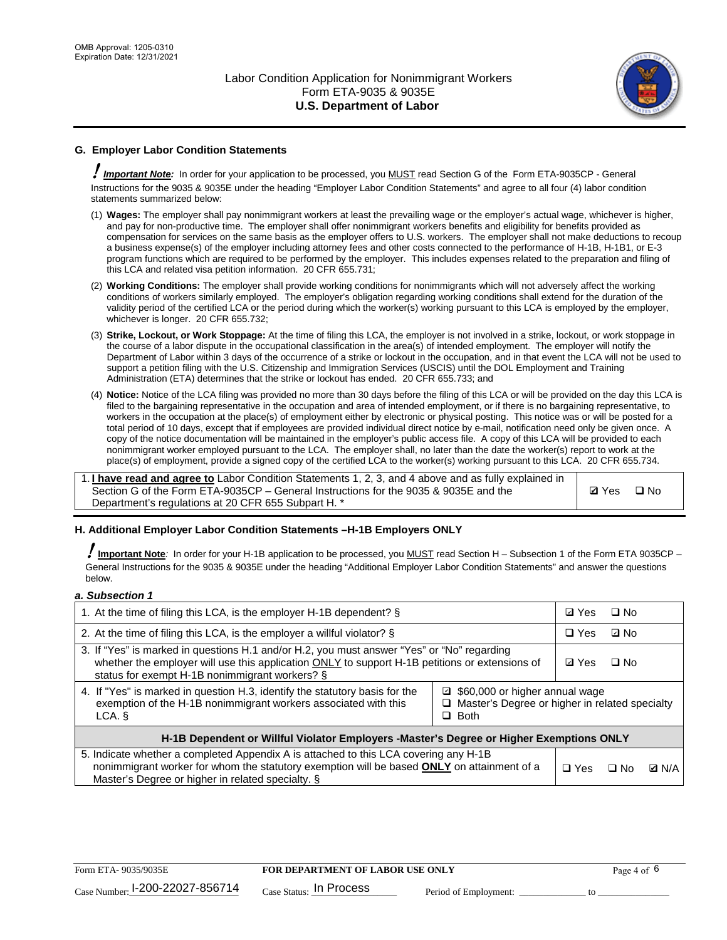

# **G. Employer Labor Condition Statements**

! *Important Note:* In order for your application to be processed, you MUST read Section G of the Form ETA-9035CP - General Instructions for the 9035 & 9035E under the heading "Employer Labor Condition Statements" and agree to all four (4) labor condition statements summarized below:

- (1) **Wages:** The employer shall pay nonimmigrant workers at least the prevailing wage or the employer's actual wage, whichever is higher, and pay for non-productive time. The employer shall offer nonimmigrant workers benefits and eligibility for benefits provided as compensation for services on the same basis as the employer offers to U.S. workers. The employer shall not make deductions to recoup a business expense(s) of the employer including attorney fees and other costs connected to the performance of H-1B, H-1B1, or E-3 program functions which are required to be performed by the employer. This includes expenses related to the preparation and filing of this LCA and related visa petition information. 20 CFR 655.731;
- (2) **Working Conditions:** The employer shall provide working conditions for nonimmigrants which will not adversely affect the working conditions of workers similarly employed. The employer's obligation regarding working conditions shall extend for the duration of the validity period of the certified LCA or the period during which the worker(s) working pursuant to this LCA is employed by the employer, whichever is longer. 20 CFR 655.732;
- (3) **Strike, Lockout, or Work Stoppage:** At the time of filing this LCA, the employer is not involved in a strike, lockout, or work stoppage in the course of a labor dispute in the occupational classification in the area(s) of intended employment. The employer will notify the Department of Labor within 3 days of the occurrence of a strike or lockout in the occupation, and in that event the LCA will not be used to support a petition filing with the U.S. Citizenship and Immigration Services (USCIS) until the DOL Employment and Training Administration (ETA) determines that the strike or lockout has ended. 20 CFR 655.733; and
- (4) **Notice:** Notice of the LCA filing was provided no more than 30 days before the filing of this LCA or will be provided on the day this LCA is filed to the bargaining representative in the occupation and area of intended employment, or if there is no bargaining representative, to workers in the occupation at the place(s) of employment either by electronic or physical posting. This notice was or will be posted for a total period of 10 days, except that if employees are provided individual direct notice by e-mail, notification need only be given once. A copy of the notice documentation will be maintained in the employer's public access file. A copy of this LCA will be provided to each nonimmigrant worker employed pursuant to the LCA. The employer shall, no later than the date the worker(s) report to work at the place(s) of employment, provide a signed copy of the certified LCA to the worker(s) working pursuant to this LCA. 20 CFR 655.734.

1. **I have read and agree to** Labor Condition Statements 1, 2, 3, and 4 above and as fully explained in Section G of the Form ETA-9035CP – General Instructions for the 9035 & 9035E and the Department's regulations at 20 CFR 655 Subpart H. \*

**Ø**Yes ロNo

#### **H. Additional Employer Labor Condition Statements –H-1B Employers ONLY**

!**Important Note***:* In order for your H-1B application to be processed, you MUST read Section H – Subsection 1 of the Form ETA 9035CP – General Instructions for the 9035 & 9035E under the heading "Additional Employer Labor Condition Statements" and answer the questions below.

#### *a. Subsection 1*

| 1. At the time of filing this LCA, is the employer H-1B dependent? §                                                                                                                                                                                            | ⊡ Yes      | □ No       |              |  |
|-----------------------------------------------------------------------------------------------------------------------------------------------------------------------------------------------------------------------------------------------------------------|------------|------------|--------------|--|
| 2. At the time of filing this LCA, is the employer a willful violator? $\S$                                                                                                                                                                                     |            | $\Box$ Yes | ⊡ No         |  |
| 3. If "Yes" is marked in questions H.1 and/or H.2, you must answer "Yes" or "No" regarding<br>whether the employer will use this application ONLY to support H-1B petitions or extensions of<br>status for exempt H-1B nonimmigrant workers? §                  |            |            | $\Box$ No    |  |
| 4. If "Yes" is marked in question H.3, identify the statutory basis for the<br>■ \$60,000 or higher annual wage<br>exemption of the H-1B nonimmigrant workers associated with this<br>□ Master's Degree or higher in related specialty<br>$\Box$ Both<br>LCA. § |            |            |              |  |
| H-1B Dependent or Willful Violator Employers -Master's Degree or Higher Exemptions ONLY                                                                                                                                                                         |            |            |              |  |
| 5. Indicate whether a completed Appendix A is attached to this LCA covering any H-1B<br>nonimmigrant worker for whom the statutory exemption will be based <b>ONLY</b> on attainment of a<br>Master's Degree or higher in related specialty. §                  | $\Box$ Yes | ⊡ No       | <b>Q</b> N/A |  |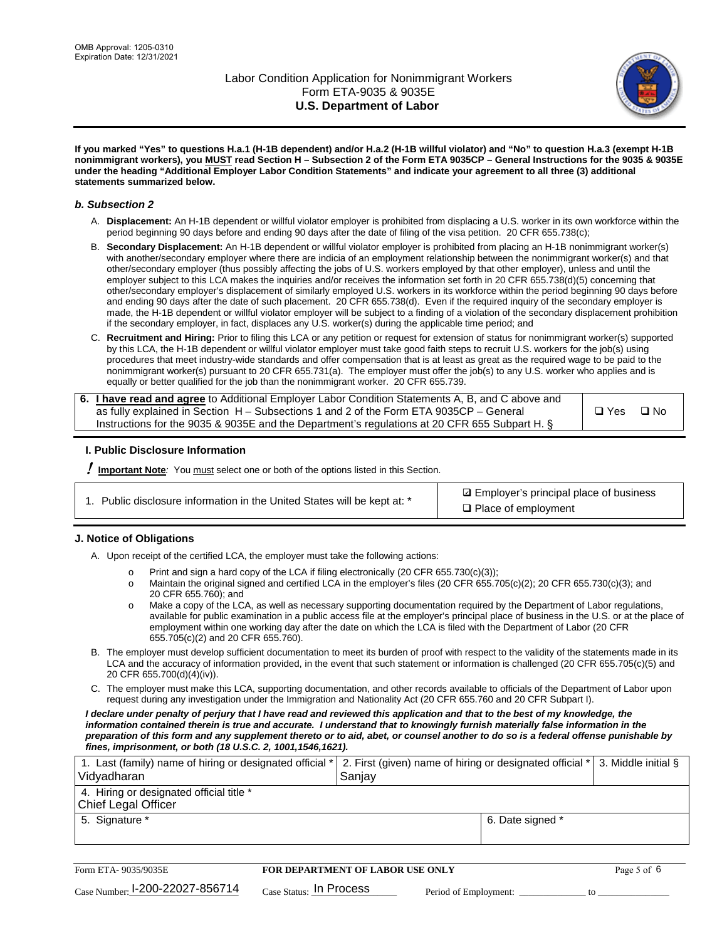

**If you marked "Yes" to questions H.a.1 (H-1B dependent) and/or H.a.2 (H-1B willful violator) and "No" to question H.a.3 (exempt H-1B nonimmigrant workers), you MUST read Section H – Subsection 2 of the Form ETA 9035CP – General Instructions for the 9035 & 9035E under the heading "Additional Employer Labor Condition Statements" and indicate your agreement to all three (3) additional statements summarized below.**

#### *b. Subsection 2*

- A. **Displacement:** An H-1B dependent or willful violator employer is prohibited from displacing a U.S. worker in its own workforce within the period beginning 90 days before and ending 90 days after the date of filing of the visa petition. 20 CFR 655.738(c);
- B. **Secondary Displacement:** An H-1B dependent or willful violator employer is prohibited from placing an H-1B nonimmigrant worker(s) with another/secondary employer where there are indicia of an employment relationship between the nonimmigrant worker(s) and that other/secondary employer (thus possibly affecting the jobs of U.S. workers employed by that other employer), unless and until the employer subject to this LCA makes the inquiries and/or receives the information set forth in 20 CFR 655.738(d)(5) concerning that other/secondary employer's displacement of similarly employed U.S. workers in its workforce within the period beginning 90 days before and ending 90 days after the date of such placement. 20 CFR 655.738(d). Even if the required inquiry of the secondary employer is made, the H-1B dependent or willful violator employer will be subject to a finding of a violation of the secondary displacement prohibition if the secondary employer, in fact, displaces any U.S. worker(s) during the applicable time period; and
- C. **Recruitment and Hiring:** Prior to filing this LCA or any petition or request for extension of status for nonimmigrant worker(s) supported by this LCA, the H-1B dependent or willful violator employer must take good faith steps to recruit U.S. workers for the job(s) using procedures that meet industry-wide standards and offer compensation that is at least as great as the required wage to be paid to the nonimmigrant worker(s) pursuant to 20 CFR 655.731(a). The employer must offer the job(s) to any U.S. worker who applies and is equally or better qualified for the job than the nonimmigrant worker. 20 CFR 655.739.

| 6. I have read and agree to Additional Employer Labor Condition Statements A, B, and C above and |       |           |
|--------------------------------------------------------------------------------------------------|-------|-----------|
| as fully explained in Section H – Subsections 1 and 2 of the Form ETA 9035CP – General           | □ Yes | $\Box$ No |
| Instructions for the 9035 & 9035E and the Department's regulations at 20 CFR 655 Subpart H. §    |       |           |

#### **I. Public Disclosure Information**

! **Important Note***:* You must select one or both of the options listed in this Section.

|  | 1. Public disclosure information in the United States will be kept at: * |  |  |  |
|--|--------------------------------------------------------------------------|--|--|--|
|  |                                                                          |  |  |  |

**sqrt** Employer's principal place of business □ Place of employment

#### **J. Notice of Obligations**

A. Upon receipt of the certified LCA, the employer must take the following actions:

- o Print and sign a hard copy of the LCA if filing electronically (20 CFR 655.730(c)(3));<br>
Maintain the original signed and certified LCA in the employer's files (20 CFR 655.7
- Maintain the original signed and certified LCA in the employer's files (20 CFR 655.705(c)(2); 20 CFR 655.730(c)(3); and 20 CFR 655.760); and
- o Make a copy of the LCA, as well as necessary supporting documentation required by the Department of Labor regulations, available for public examination in a public access file at the employer's principal place of business in the U.S. or at the place of employment within one working day after the date on which the LCA is filed with the Department of Labor (20 CFR 655.705(c)(2) and 20 CFR 655.760).
- B. The employer must develop sufficient documentation to meet its burden of proof with respect to the validity of the statements made in its LCA and the accuracy of information provided, in the event that such statement or information is challenged (20 CFR 655.705(c)(5) and 20 CFR 655.700(d)(4)(iv)).
- C. The employer must make this LCA, supporting documentation, and other records available to officials of the Department of Labor upon request during any investigation under the Immigration and Nationality Act (20 CFR 655.760 and 20 CFR Subpart I).

*I declare under penalty of perjury that I have read and reviewed this application and that to the best of my knowledge, the*  information contained therein is true and accurate. I understand that to knowingly furnish materially false information in the *preparation of this form and any supplement thereto or to aid, abet, or counsel another to do so is a federal offense punishable by fines, imprisonment, or both (18 U.S.C. 2, 1001,1546,1621).*

| 1. Last (family) name of hiring or designated official *   2. First (given) name of hiring or designated official *   3. Middle initial §<br>Vidyadharan | Saniav           |  |
|----------------------------------------------------------------------------------------------------------------------------------------------------------|------------------|--|
| 4. Hiring or designated official title *<br>Chief Legal Officer                                                                                          |                  |  |
| 5. Signature *                                                                                                                                           | 6. Date signed * |  |

| Form ETA-9035/9035E                         | <b>FOR DEPARTMENT OF LABOR USE ONLY</b> |                       |  |
|---------------------------------------------|-----------------------------------------|-----------------------|--|
| $_{\text{Case Number:}}$ I-200-22027-856714 | $_{\rm Case~S status:}$ In Process      | Period of Employment: |  |